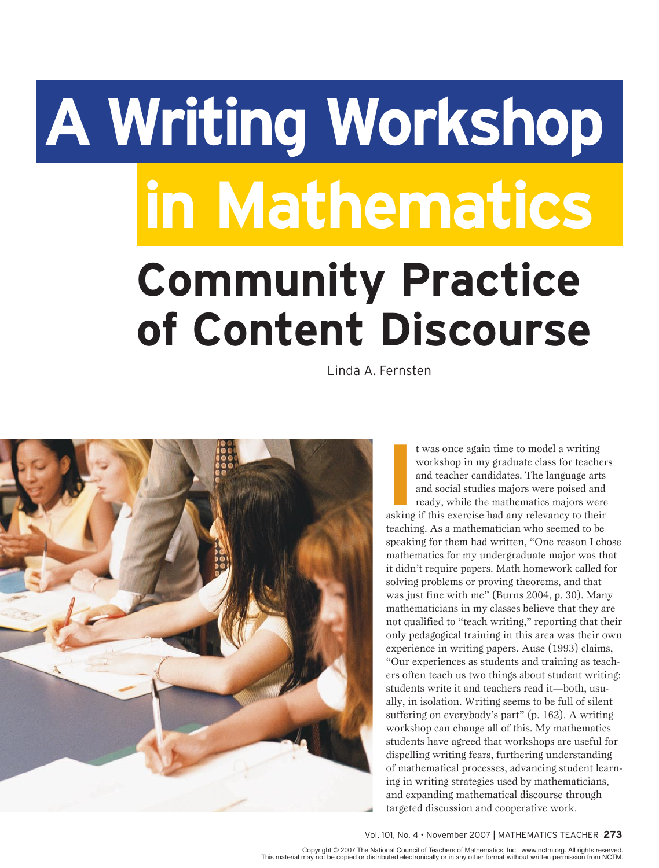# **A Writing Workshop Community Practice of Content Discourse in Mathematics**

Linda A. Fernsten



If was once again time to model a writing<br>
workshop in my graduate class for teacher<br>
and teacher candidates. The language arts<br>
and social studies majors were poised and<br>
ready, while the mathematics majors were<br>
asking i t was once again time to model a writing workshop in my graduate class for teachers and teacher candidates. The language arts and social studies majors were poised and ready, while the mathematics majors were teaching. As a mathematician who seemed to be speaking for them had written, "One reason I chose mathematics for my undergraduate major was that it didn't require papers. Math homework called for solving problems or proving theorems, and that was just fine with me" (Burns 2004, p. 30). Many mathematicians in my classes believe that they are not qualified to "teach writing," reporting that their only pedagogical training in this area was their own experience in writing papers. Ause (1993) claims, "Our experiences as students and training as teachers often teach us two things about student writing: students write it and teachers read it—both, usually, in isolation. Writing seems to be full of silent suffering on everybody's part" (p. 162). A writing workshop can change all of this. My mathematics students have agreed that workshops are useful for dispelling writing fears, furthering understanding of mathematical processes, advancing student learning in writing strategies used by mathematicians, and expanding mathematical discourse through targeted discussion and cooperative work.

#### Vol. 101, No. 4 • November 2007 **|** Mathematics Teacher **273**

Copyright © 2007 The National Council of Teachers of Mathematics, Inc. www.nctm.org. All rights reserved.<br>This material may not be copied or distributed electronically or in any other format without written permission from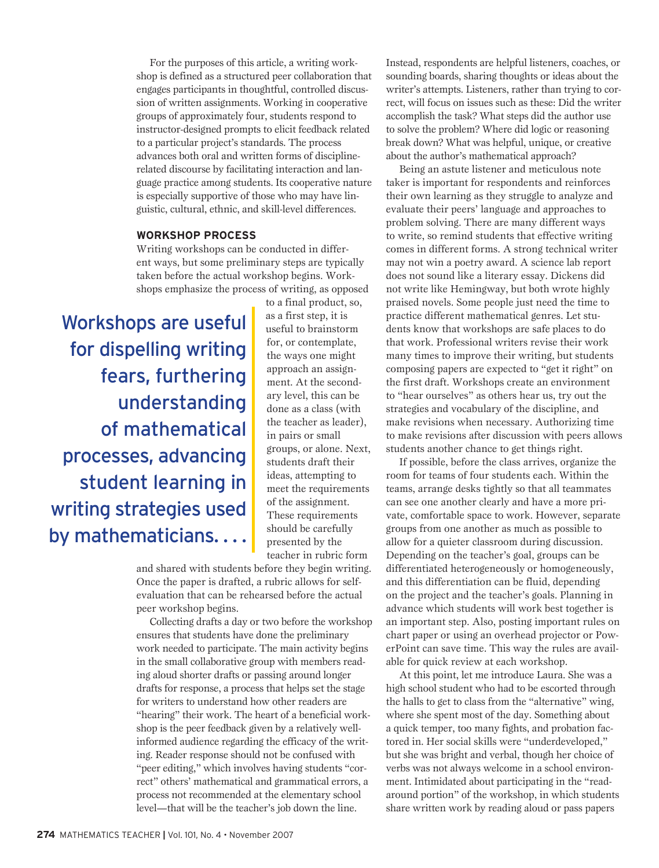For the purposes of this article, a writing workshop is defined as a structured peer collaboration that engages participants in thoughtful, controlled discussion of written assignments. Working in cooperative groups of approximately four, students respond to instructor-designed prompts to elicit feedback related to a particular project's standards. The process advances both oral and written forms of disciplinerelated discourse by facilitating interaction and language practice among students. Its cooperative nature is especially supportive of those who may have linguistic, cultural, ethnic, and skill-level differences.

## **WORKSHOP PROCESS**

Writing workshops can be conducted in different ways, but some preliminary steps are typically taken before the actual workshop begins. Workshops emphasize the process of writing, as opposed

Workshops are useful for dispelling writing fears, furthering understanding of mathematical processes, advancing student learning in writing strategies used by mathematicians. . . . to a final product, so, as a first step, it is useful to brainstorm for, or contemplate, the ways one might approach an assignment. At the secondary level, this can be done as a class (with the teacher as leader), in pairs or small groups, or alone. Next, students draft their ideas, attempting to meet the requirements of the assignment. These requirements should be carefully presented by the teacher in rubric form

and shared with students before they begin writing. Once the paper is drafted, a rubric allows for selfevaluation that can be rehearsed before the actual peer workshop begins.

Collecting drafts a day or two before the workshop ensures that students have done the preliminary work needed to participate. The main activity begins in the small collaborative group with members reading aloud shorter drafts or passing around longer drafts for response, a process that helps set the stage for writers to understand how other readers are "hearing" their work. The heart of a beneficial workshop is the peer feedback given by a relatively wellinformed audience regarding the efficacy of the writing. Reader response should not be confused with "peer editing," which involves having students "correct" others' mathematical and grammatical errors, a process not recommended at the elementary school level—that will be the teacher's job down the line.

Instead, respondents are helpful listeners, coaches, or sounding boards, sharing thoughts or ideas about the writer's attempts. Listeners, rather than trying to correct, will focus on issues such as these: Did the writer accomplish the task? What steps did the author use to solve the problem? Where did logic or reasoning break down? What was helpful, unique, or creative about the author's mathematical approach?

Being an astute listener and meticulous note taker is important for respondents and reinforces their own learning as they struggle to analyze and evaluate their peers' language and approaches to problem solving. There are many different ways to write, so remind students that effective writing comes in different forms. A strong technical writer may not win a poetry award. A science lab report does not sound like a literary essay. Dickens did not write like Hemingway, but both wrote highly praised novels. Some people just need the time to practice different mathematical genres. Let students know that workshops are safe places to do that work. Professional writers revise their work many times to improve their writing, but students composing papers are expected to "get it right" on the first draft. Workshops create an environment to "hear ourselves" as others hear us, try out the strategies and vocabulary of the discipline, and make revisions when necessary. Authorizing time to make revisions after discussion with peers allows students another chance to get things right.

If possible, before the class arrives, organize the room for teams of four students each. Within the teams, arrange desks tightly so that all teammates can see one another clearly and have a more private, comfortable space to work. However, separate groups from one another as much as possible to allow for a quieter classroom during discussion. Depending on the teacher's goal, groups can be differentiated heterogeneously or homogeneously, and this differentiation can be fluid, depending on the project and the teacher's goals. Planning in advance which students will work best together is an important step. Also, posting important rules on chart paper or using an overhead projector or PowerPoint can save time. This way the rules are available for quick review at each workshop.

At this point, let me introduce Laura. She was a high school student who had to be escorted through the halls to get to class from the "alternative" wing, where she spent most of the day. Something about a quick temper, too many fights, and probation factored in. Her social skills were "underdeveloped," but she was bright and verbal, though her choice of verbs was not always welcome in a school environment. Intimidated about participating in the "readaround portion" of the workshop, in which students share written work by reading aloud or pass papers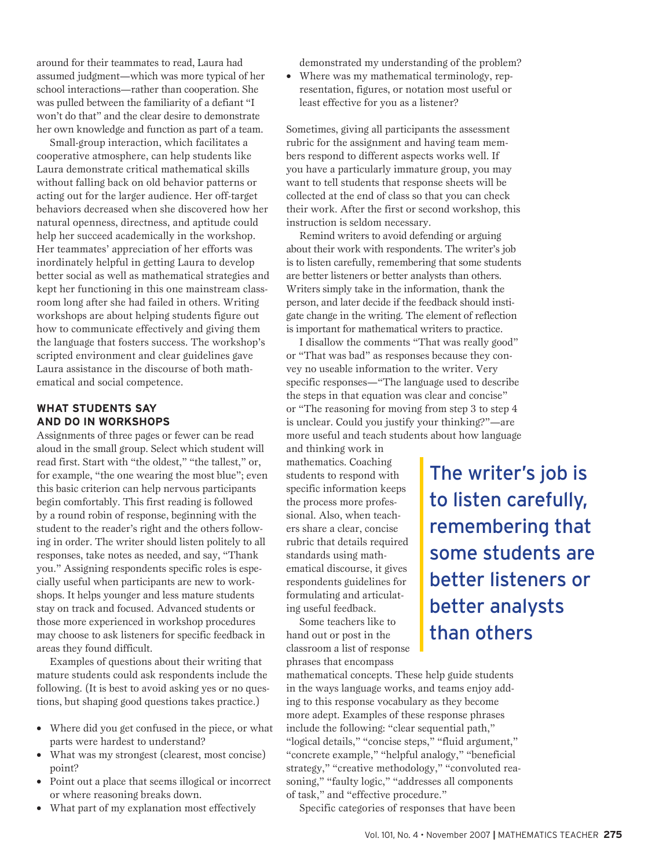around for their teammates to read, Laura had assumed judgment—which was more typical of her school interactions—rather than cooperation. She was pulled between the familiarity of a defiant "I won't do that" and the clear desire to demonstrate her own knowledge and function as part of a team.

Small-group interaction, which facilitates a cooperative atmosphere, can help students like Laura demonstrate critical mathematical skills without falling back on old behavior patterns or acting out for the larger audience. Her off-target behaviors decreased when she discovered how her natural openness, directness, and aptitude could help her succeed academically in the workshop. Her teammates' appreciation of her efforts was inordinately helpful in getting Laura to develop better social as well as mathematical strategies and kept her functioning in this one mainstream classroom long after she had failed in others. Writing workshops are about helping students figure out how to communicate effectively and giving them the language that fosters success. The workshop's scripted environment and clear guidelines gave Laura assistance in the discourse of both mathematical and social competence.

## **WHAT STUDENTS SAY AND DO IN WORKSHOPS**

Assignments of three pages or fewer can be read aloud in the small group. Select which student will read first. Start with "the oldest," "the tallest," or, for example, "the one wearing the most blue"; even this basic criterion can help nervous participants begin comfortably. This first reading is followed by a round robin of response, beginning with the student to the reader's right and the others following in order. The writer should listen politely to all responses, take notes as needed, and say, "Thank you." Assigning respondents specific roles is especially useful when participants are new to workshops. It helps younger and less mature students stay on track and focused. Advanced students or those more experienced in workshop procedures may choose to ask listeners for specific feedback in areas they found difficult.

Examples of questions about their writing that mature students could ask respondents include the following. (It is best to avoid asking yes or no questions, but shaping good questions takes practice.)

- Where did you get confused in the piece, or what parts were hardest to understand?
- What was my strongest (clearest, most concise) point?
- Point out a place that seems illogical or incorrect or where reasoning breaks down.
- • What part of my explanation most effectively

demonstrated my understanding of the problem?

• Where was my mathematical terminology, representation, figures, or notation most useful or least effective for you as a listener?

Sometimes, giving all participants the assessment rubric for the assignment and having team members respond to different aspects works well. If you have a particularly immature group, you may want to tell students that response sheets will be collected at the end of class so that you can check their work. After the first or second workshop, this instruction is seldom necessary.

Remind writers to avoid defending or arguing about their work with respondents. The writer's job is to listen carefully, remembering that some students are better listeners or better analysts than others. Writers simply take in the information, thank the person, and later decide if the feedback should instigate change in the writing. The element of reflection is important for mathematical writers to practice.

I disallow the comments "That was really good" or "That was bad" as responses because they convey no useable information to the writer. Very specific responses—"The language used to describe the steps in that equation was clear and concise" or "The reasoning for moving from step 3 to step 4 is unclear. Could you justify your thinking?"—are more useful and teach students about how language

and thinking work in mathematics. Coaching students to respond with specific information keeps the process more professional. Also, when teachers share a clear, concise rubric that details required standards using mathematical discourse, it gives respondents guidelines for formulating and articulating useful feedback.

Some teachers like to hand out or post in the classroom a list of response phrases that encompass

mathematical concepts. These help guide students in the ways language works, and teams enjoy adding to this response vocabulary as they become more adept. Examples of these response phrases include the following: "clear sequential path," "logical details," "concise steps," "fluid argument," "concrete example," "helpful analogy," "beneficial strategy," "creative methodology," "convoluted reasoning," "faulty logic," "addresses all components of task," and "effective procedure."

Specific categories of responses that have been

The writer's job is

to listen carefully,

remembering that

some students are

better listeners or

better analysts

than others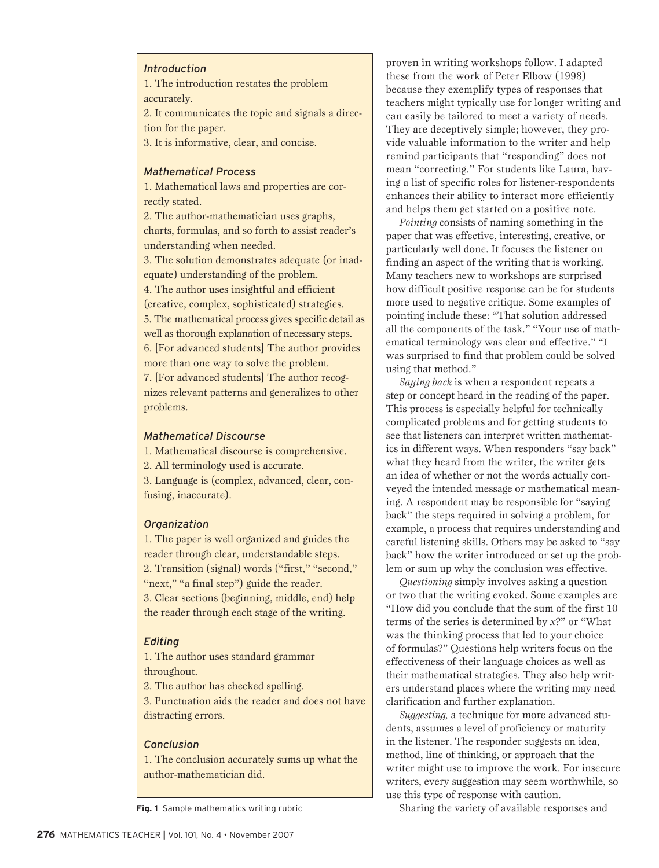#### *Introduction*

1. The introduction restates the problem accurately.

2. It communicates the topic and signals a direction for the paper.

3. It is informative, clear, and concise.

## *Mathematical Process*

1. Mathematical laws and properties are correctly stated.

2. The author-mathematician uses graphs, charts, formulas, and so forth to assist reader's understanding when needed.

3. The solution demonstrates adequate (or inadequate) understanding of the problem. 4. The author uses insightful and efficient (creative, complex, sophisticated) strategies. 5. The mathematical process gives specific detail as well as thorough explanation of necessary steps. 6. [For advanced students] The author provides more than one way to solve the problem. 7. [For advanced students] The author recognizes relevant patterns and generalizes to other

problems.

#### *Mathematical Discourse*

1. Mathematical discourse is comprehensive.

2. All terminology used is accurate.

3. Language is (complex, advanced, clear, confusing, inaccurate).

#### *Organization*

1. The paper is well organized and guides the reader through clear, understandable steps. 2. Transition (signal) words ("first," "second," "next," "a final step") guide the reader. 3. Clear sections (beginning, middle, end) help the reader through each stage of the writing.

#### *Editing*

1. The author uses standard grammar throughout.

2. The author has checked spelling.

3. Punctuation aids the reader and does not have distracting errors.

#### *Conclusion*

1. The conclusion accurately sums up what the author-mathematician did.

**Fig. 1** Sample mathematics writing rubric

proven in writing workshops follow. I adapted these from the work of Peter Elbow (1998) because they exemplify types of responses that teachers might typically use for longer writing and can easily be tailored to meet a variety of needs. They are deceptively simple; however, they provide valuable information to the writer and help remind participants that "responding" does not mean "correcting." For students like Laura, having a list of specific roles for listener-respondents enhances their ability to interact more efficiently and helps them get started on a positive note.

*Pointing* consists of naming something in the paper that was effective, interesting, creative, or particularly well done. It focuses the listener on finding an aspect of the writing that is working. Many teachers new to workshops are surprised how difficult positive response can be for students more used to negative critique. Some examples of pointing include these: "That solution addressed all the components of the task." "Your use of mathematical terminology was clear and effective." "I was surprised to find that problem could be solved using that method."

*Saying back* is when a respondent repeats a step or concept heard in the reading of the paper. This process is especially helpful for technically complicated problems and for getting students to see that listeners can interpret written mathematics in different ways. When responders "say back" what they heard from the writer, the writer gets an idea of whether or not the words actually conveyed the intended message or mathematical meaning. A respondent may be responsible for "saying back" the steps required in solving a problem, for example, a process that requires understanding and careful listening skills. Others may be asked to "say back" how the writer introduced or set up the problem or sum up why the conclusion was effective.

*Questioning* simply involves asking a question or two that the writing evoked. Some examples are "How did you conclude that the sum of the first 10 terms of the series is determined by *x*?" or "What was the thinking process that led to your choice of formulas?" Questions help writers focus on the effectiveness of their language choices as well as their mathematical strategies. They also help writers understand places where the writing may need clarification and further explanation.

*Suggesting,* a technique for more advanced students, assumes a level of proficiency or maturity in the listener. The responder suggests an idea, method, line of thinking, or approach that the writer might use to improve the work. For insecure writers, every suggestion may seem worthwhile, so use this type of response with caution.

Sharing the variety of available responses and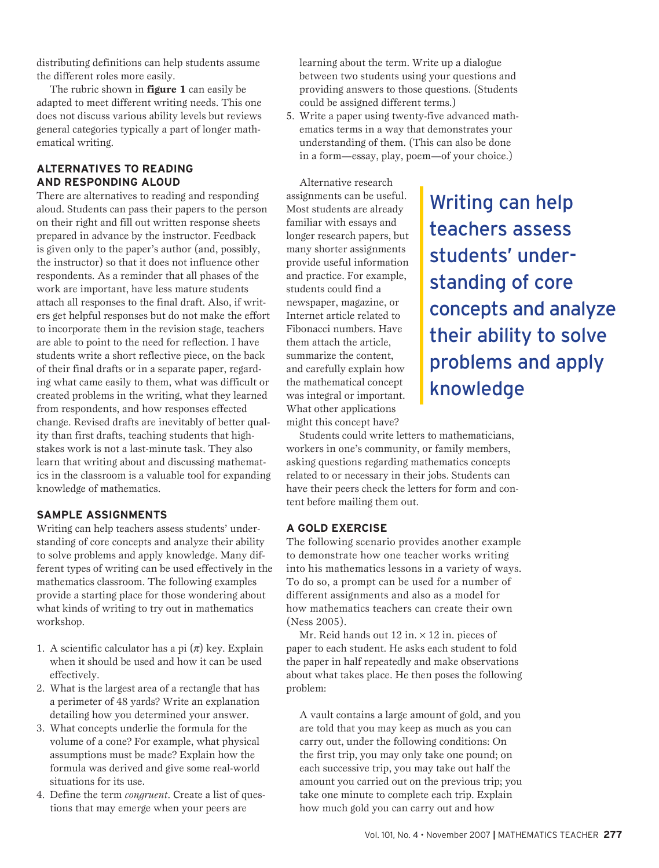distributing definitions can help students assume the different roles more easily.

The rubric shown in **figure 1** can easily be adapted to meet different writing needs. This one does not discuss various ability levels but reviews general categories typically a part of longer mathematical writing.

# **ALTERNATIVES TO READING AND RESPONDING ALOUD**

There are alternatives to reading and responding aloud. Students can pass their papers to the person on their right and fill out written response sheets prepared in advance by the instructor. Feedback is given only to the paper's author (and, possibly, the instructor) so that it does not influence other respondents. As a reminder that all phases of the work are important, have less mature students attach all responses to the final draft. Also, if writers get helpful responses but do not make the effort to incorporate them in the revision stage, teachers are able to point to the need for reflection. I have students write a short reflective piece, on the back of their final drafts or in a separate paper, regarding what came easily to them, what was difficult or created problems in the writing, what they learned from respondents, and how responses effected change. Revised drafts are inevitably of better quality than first drafts, teaching students that highstakes work is not a last-minute task. They also learn that writing about and discussing mathematics in the classroom is a valuable tool for expanding knowledge of mathematics.

# **SAMPLE ASSIGNMENTS**

Writing can help teachers assess students' understanding of core concepts and analyze their ability to solve problems and apply knowledge. Many different types of writing can be used effectively in the mathematics classroom. The following examples provide a starting place for those wondering about what kinds of writing to try out in mathematics workshop.

- 1. A scientific calculator has a pi  $(\pi)$  key. Explain when it should be used and how it can be used effectively.
- 2. What is the largest area of a rectangle that has a perimeter of 48 yards? Write an explanation detailing how you determined your answer.
- 3. What concepts underlie the formula for the volume of a cone? For example, what physical assumptions must be made? Explain how the formula was derived and give some real-world situations for its use.
- 4. Define the term *congruent*. Create a list of questions that may emerge when your peers are

learning about the term. Write up a dialogue between two students using your questions and providing answers to those questions. (Students could be assigned different terms.)

5. Write a paper using twenty-five advanced mathematics terms in a way that demonstrates your understanding of them. (This can also be done in a form—essay, play, poem—of your choice.)

Alternative research assignments can be useful. Most students are already familiar with essays and longer research papers, but many shorter assignments provide useful information and practice. For example, students could find a newspaper, magazine, or Internet article related to Fibonacci numbers. Have them attach the article, summarize the content, and carefully explain how the mathematical concept was integral or important. What other applications might this concept have?

Writing can help teachers assess students' understanding of core concepts and analyze their ability to solve problems and apply knowledge

Students could write letters to mathematicians, workers in one's community, or family members, asking questions regarding mathematics concepts related to or necessary in their jobs. Students can have their peers check the letters for form and content before mailing them out.

# **A Gold Exercise**

The following scenario provides another example to demonstrate how one teacher works writing into his mathematics lessons in a variety of ways. To do so, a prompt can be used for a number of different assignments and also as a model for how mathematics teachers can create their own (Ness 2005).

Mr. Reid hands out  $12$  in.  $\times$  12 in. pieces of paper to each student. He asks each student to fold the paper in half repeatedly and make observations about what takes place. He then poses the following problem:

A vault contains a large amount of gold, and you are told that you may keep as much as you can carry out, under the following conditions: On the first trip, you may only take one pound; on each successive trip, you may take out half the amount you carried out on the previous trip; you take one minute to complete each trip. Explain how much gold you can carry out and how